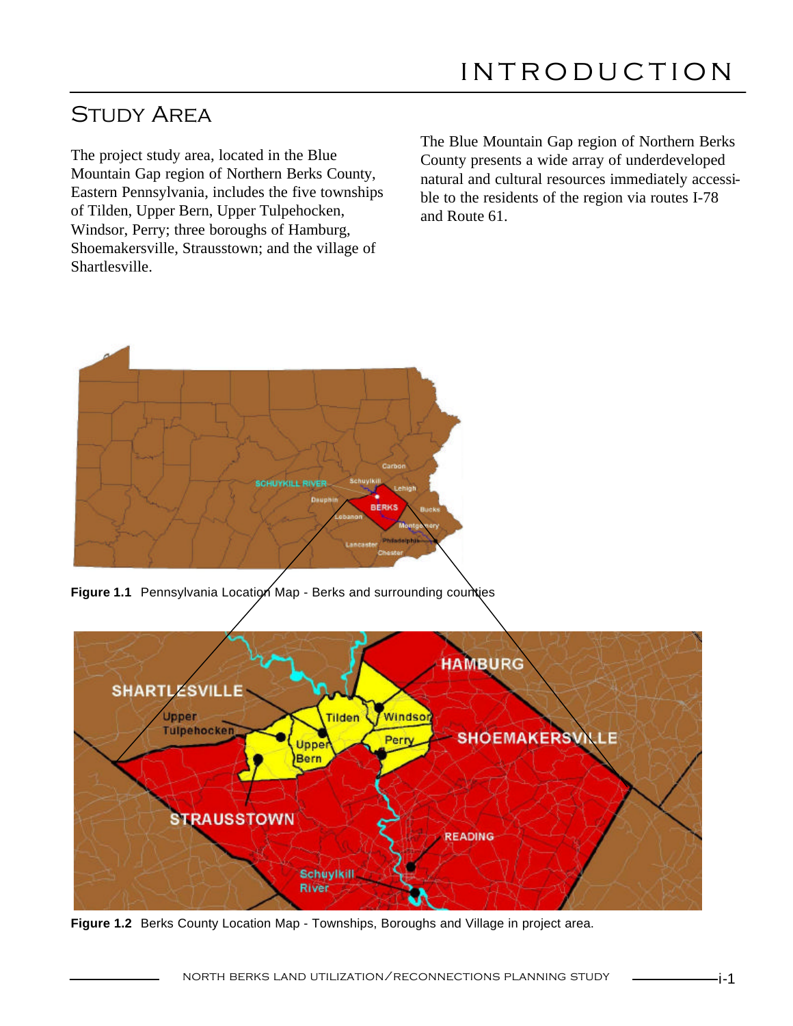# *Study Area*

The project study area, located in the Blue Mountain Gap region of Northern Berks County, Eastern Pennsylvania, includes the five townships of Tilden, Upper Bern, Upper Tulpehocken, Windsor, Perry; three boroughs of Hamburg, Shoemakersville, Strausstown; and the village of Shartlesville.

The Blue Mountain Gap region of Northern Berks County presents a wide array of underdeveloped natural and cultural resources immediately accessible to the residents of the region via routes I-78 and Route 61.



Figure 1.1 Pennsylvania Location Map - Berks and surrounding counties



**Figure 1.2** Berks County Location Map - Townships, Boroughs and Village in project area.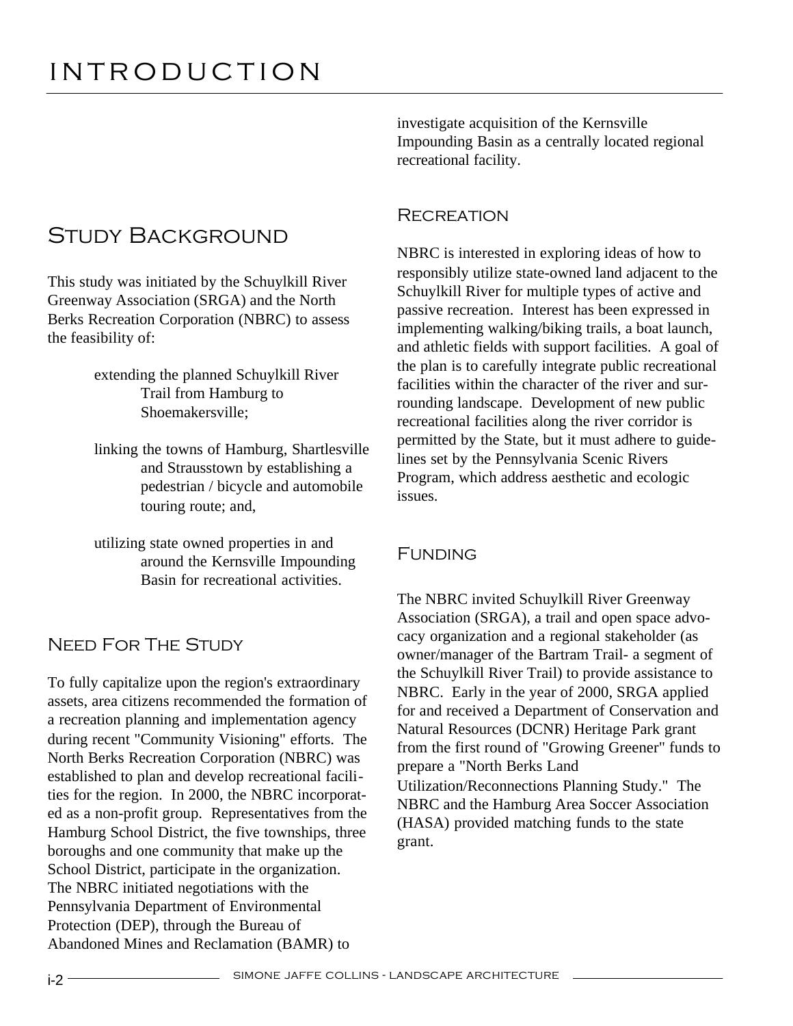# *Study Background*

This study was initiated by the Schuylkill River Greenway Association (SRGA) and the North Berks Recreation Corporation (NBRC) to assess the feasibility of:

- extending the planned Schuylkill River Trail from Hamburg to Shoemakersville;
- linking the towns of Hamburg, Shartlesville and Strausstown by establishing a pedestrian / bicycle and automobile touring route; and,
- utilizing state owned properties in and around the Kernsville Impounding Basin for recreational activities.

## *Need For The Study*

To fully capitalize upon the region's extraordinary assets, area citizens recommended the formation of a recreation planning and implementation agency during recent "Community Visioning" efforts. The North Berks Recreation Corporation (NBRC) was established to plan and develop recreational facilities for the region. In 2000, the NBRC incorporated as a non-profit group. Representatives from the Hamburg School District, the five townships, three boroughs and one community that make up the School District, participate in the organization. The NBRC initiated negotiations with the Pennsylvania Department of Environmental Protection (DEP), through the Bureau of Abandoned Mines and Reclamation (BAMR) to

investigate acquisition of the Kernsville Impounding Basin as a centrally located regional recreational facility.

### *Recreation*

NBRC is interested in exploring ideas of how to responsibly utilize state-owned land adjacent to the Schuylkill River for multiple types of active and passive recreation. Interest has been expressed in implementing walking/biking trails, a boat launch, and athletic fields with support facilities. A goal of the plan is to carefully integrate public recreational facilities within the character of the river and surrounding landscape. Development of new public recreational facilities along the river corridor is permitted by the State, but it must adhere to guidelines set by the Pennsylvania Scenic Rivers Program, which address aesthetic and ecologic issues.

#### *Funding*

The NBRC invited Schuylkill River Greenway Association (SRGA), a trail and open space advocacy organization and a regional stakeholder (as owner/manager of the Bartram Trail- a segment of the Schuylkill River Trail) to provide assistance to NBRC. Early in the year of 2000, SRGA applied for and received a Department of Conservation and Natural Resources (DCNR) Heritage Park grant from the first round of "Growing Greener" funds to prepare a "North Berks Land Utilization/Reconnections Planning Study." The NBRC and the Hamburg Area Soccer Association (HASA) provided matching funds to the state grant.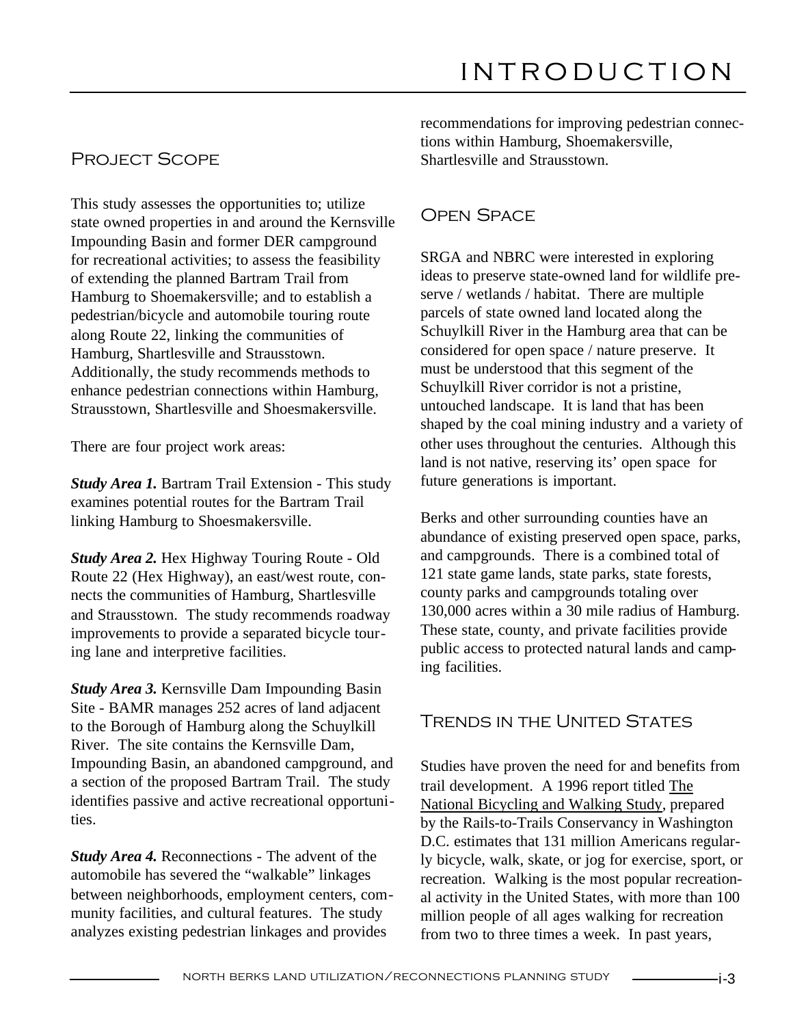# *Project Scope*

This study assesses the opportunities to; utilize state owned properties in and around the Kernsville Impounding Basin and former DER campground for recreational activities; to assess the feasibility of extending the planned Bartram Trail from Hamburg to Shoemakersville; and to establish a pedestrian/bicycle and automobile touring route along Route 22, linking the communities of Hamburg, Shartlesville and Strausstown. Additionally, the study recommends methods to enhance pedestrian connections within Hamburg, Strausstown, Shartlesville and Shoesmakersville.

There are four project work areas:

*Study Area 1.* Bartram Trail Extension - This study examines potential routes for the Bartram Trail linking Hamburg to Shoesmakersville.

*Study Area 2.* Hex Highway Touring Route - Old Route 22 (Hex Highway), an east/west route, connects the communities of Hamburg, Shartlesville and Strausstown. The study recommends roadway improvements to provide a separated bicycle touring lane and interpretive facilities.

*Study Area 3.* Kernsville Dam Impounding Basin Site - BAMR manages 252 acres of land adjacent to the Borough of Hamburg along the Schuylkill River. The site contains the Kernsville Dam, Impounding Basin, an abandoned campground, and a section of the proposed Bartram Trail. The study identifies passive and active recreational opportunities.

*Study Area 4.* Reconnections - The advent of the automobile has severed the "walkable" linkages between neighborhoods, employment centers, community facilities, and cultural features. The study analyzes existing pedestrian linkages and provides

recommendations for improving pedestrian connections within Hamburg, Shoemakersville, Shartlesville and Strausstown.

## *Open Space*

SRGA and NBRC were interested in exploring ideas to preserve state-owned land for wildlife preserve / wetlands / habitat. There are multiple parcels of state owned land located along the Schuylkill River in the Hamburg area that can be considered for open space / nature preserve. It must be understood that this segment of the Schuylkill River corridor is not a pristine, untouched landscape. It is land that has been shaped by the coal mining industry and a variety of other uses throughout the centuries. Although this land is not native, reserving its' open space for future generations is important.

Berks and other surrounding counties have an abundance of existing preserved open space, parks, and campgrounds. There is a combined total of 121 state game lands, state parks, state forests, county parks and campgrounds totaling over 130,000 acres within a 30 mile radius of Hamburg. These state, county, and private facilities provide public access to protected natural lands and camping facilities.

## *Trends in the United States*

Studies have proven the need for and benefits from trail development. A 1996 report titled The National Bicycling and Walking Study, prepared by the Rails-to-Trails Conservancy in Washington D.C. estimates that 131 million Americans regularly bicycle, walk, skate, or jog for exercise, sport, or recreation. Walking is the most popular recreational activity in the United States, with more than 100 million people of all ages walking for recreation from two to three times a week. In past years,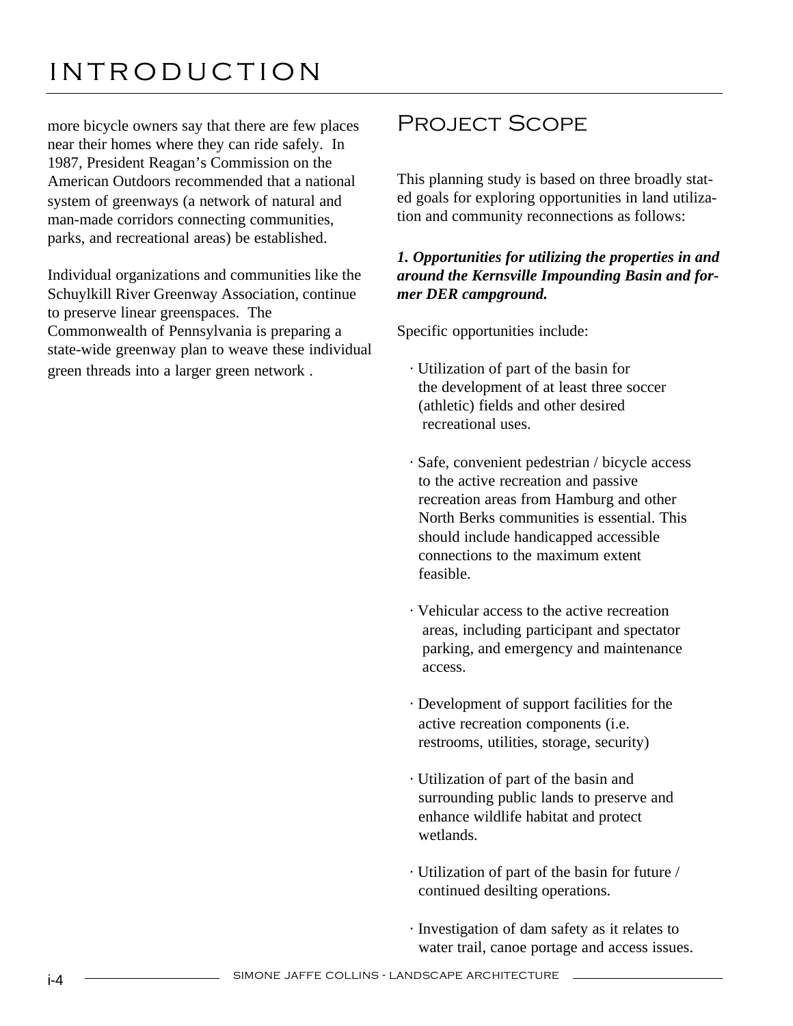# *introduction*

more bicycle owners say that there are few places near their homes where they can ride safely. In 1987, President Reagan's Commission on the American Outdoors recommended that a national system of greenways (a network of natural and man-made corridors connecting communities, parks, and recreational areas) be established.

Individual organizations and communities like the Schuylkill River Greenway Association, continue to preserve linear greenspaces. The Commonwealth of Pennsylvania is preparing a state-wide greenway plan to weave these individual green threads into a larger green network .

# *Project Scope*

This planning study is based on three broadly stated goals for exploring opportunities in land utilization and community reconnections as follows:

#### *1. Opportunities for utilizing the properties in and around the Kernsville Impounding Basin and former DER campground.*

Specific opportunities include:

- · Utilization of part of the basin for the development of at least three soccer (athletic) fields and other desired recreational uses.
- · Safe, convenient pedestrian / bicycle access to the active recreation and passive recreation areas from Hamburg and other North Berks communities is essential. This should include handicapped accessible connections to the maximum extent feasible.
- · Vehicular access to the active recreation areas, including participant and spectator parking, and emergency and maintenance access.
- · Development of support facilities for the active recreation components (i.e. restrooms, utilities, storage, security)
- · Utilization of part of the basin and surrounding public lands to preserve and enhance wildlife habitat and protect wetlands.
- · Utilization of part of the basin for future / continued desilting operations.
- · Investigation of dam safety as it relates to water trail, canoe portage and access issues.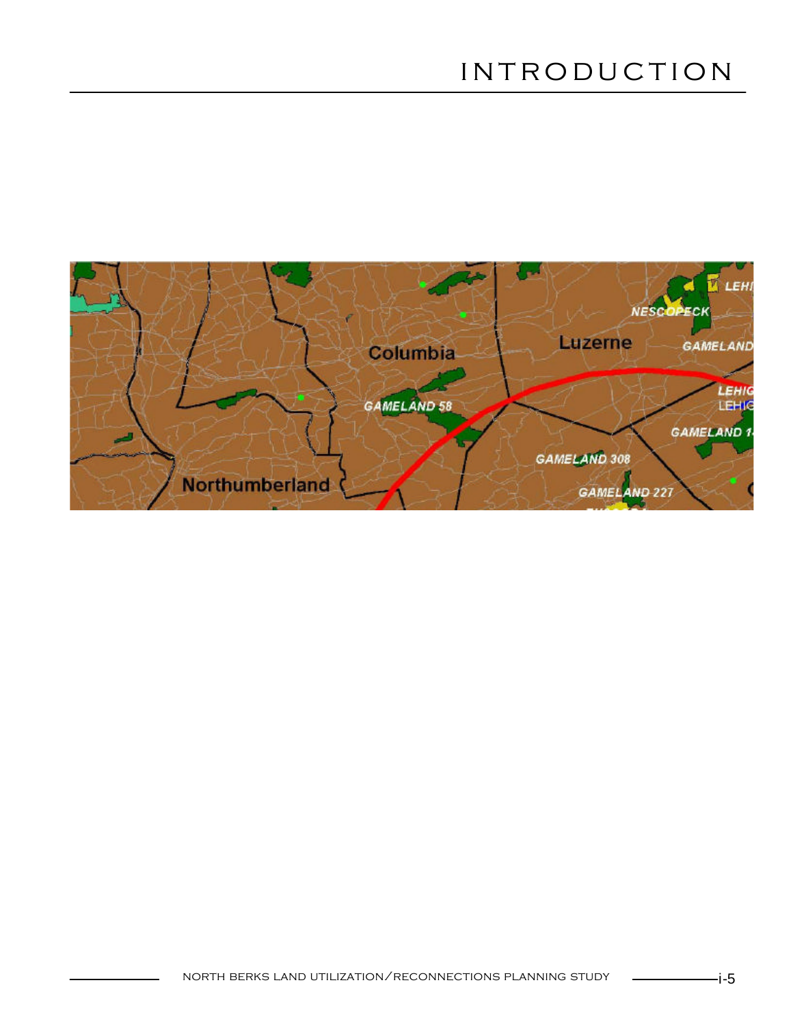# *introduction*

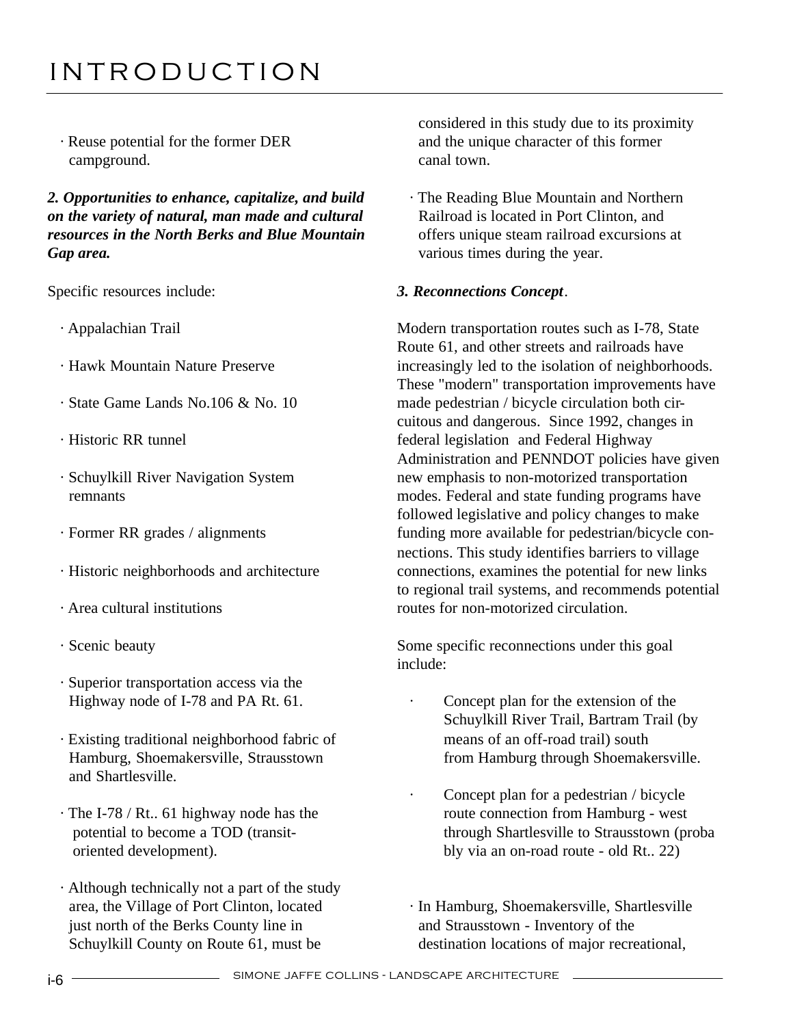· Reuse potential for the former DER campground.

*2. Opportunities to enhance, capitalize, and build on the variety of natural, man made and cultural resources in the North Berks and Blue Mountain Gap area.*

Specific resources include:

- · Appalachian Trail
- · Hawk Mountain Nature Preserve
- · State Game Lands No.106 & No. 10
- · Historic RR tunnel
- · Schuylkill River Navigation System remnants
- · Former RR grades / alignments
- · Historic neighborhoods and architecture
- · Area cultural institutions
- · Scenic beauty
- · Superior transportation access via the Highway node of I-78 and PA Rt. 61.
- · Existing traditional neighborhood fabric of Hamburg, Shoemakersville, Strausstown and Shartlesville.
- · The I-78 / Rt.. 61 highway node has the potential to become a TOD (transitoriented development).
- · Although technically not a part of the study area, the Village of Port Clinton, located just north of the Berks County line in Schuylkill County on Route 61, must be

considered in this study due to its proximity and the unique character of this former canal town.

· The Reading Blue Mountain and Northern Railroad is located in Port Clinton, and offers unique steam railroad excursions at various times during the year.

#### *3. Reconnections Concept*.

Modern transportation routes such as I-78, State Route 61, and other streets and railroads have increasingly led to the isolation of neighborhoods. These "modern" transportation improvements have made pedestrian / bicycle circulation both circuitous and dangerous. Since 1992, changes in federal legislation and Federal Highway Administration and PENNDOT policies have given new emphasis to non-motorized transportation modes. Federal and state funding programs have followed legislative and policy changes to make funding more available for pedestrian/bicycle connections. This study identifies barriers to village connections, examines the potential for new links to regional trail systems, and recommends potential routes for non-motorized circulation.

Some specific reconnections under this goal include:

- Concept plan for the extension of the Schuylkill River Trail, Bartram Trail (by means of an off-road trail) south from Hamburg through Shoemakersville.
- Concept plan for a pedestrian / bicycle route connection from Hamburg - west through Shartlesville to Strausstown (proba bly via an on-road route - old Rt.. 22)
- · In Hamburg, Shoemakersville, Shartlesville and Strausstown - Inventory of the destination locations of major recreational,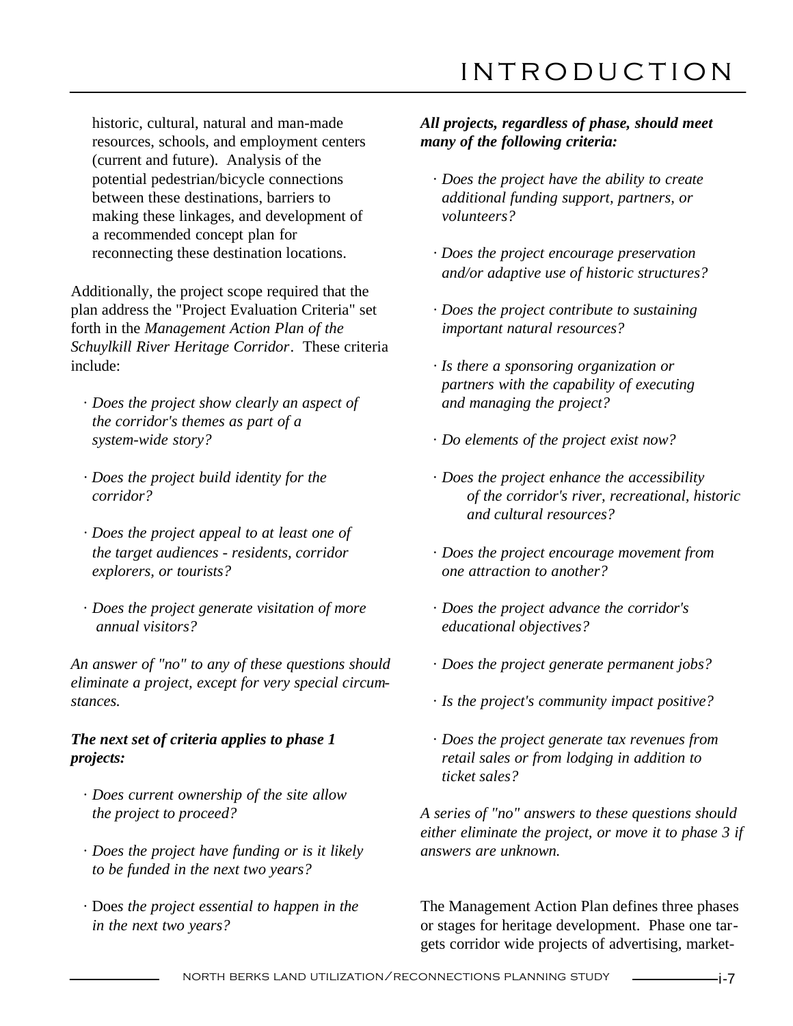historic, cultural, natural and man-made resources, schools, and employment centers (current and future). Analysis of the potential pedestrian/bicycle connections between these destinations, barriers to making these linkages, and development of a recommended concept plan for reconnecting these destination locations.

Additionally, the project scope required that the plan address the "Project Evaluation Criteria" set forth in the *Management Action Plan of the Schuylkill River Heritage Corridor*. These criteria include:

- · *Does the project show clearly an aspect of the corridor's themes as part of a system-wide story?*
- *· Does the project build identity for the corridor?*
- *· Does the project appeal to at least one of the target audiences - residents, corridor explorers, or tourists?*
- · *Does the project generate visitation of more annual visitors?*

*An answer of "no" to any of these questions should eliminate a project, except for very special circumstances.*

#### *The next set of criteria applies to phase 1 projects:*

- · *Does current ownership of the site allow the project to proceed?*
- · *Does the project have funding or is it likely to be funded in the next two years?*
- · Doe*s the project essential to happen in the in the next two years?*

#### *All projects, regardless of phase, should meet many of the following criteria:*

- · *Does the project have the ability to create additional funding support, partners, or volunteers?*
- *· Does the project encourage preservation and/or adaptive use of historic structures?*
- *· Does the project contribute to sustaining important natural resources?*
- *· Is there a sponsoring organization or partners with the capability of executing and managing the project?*
- · *Do elements of the project exist now?*
- · *Does the project enhance the accessibility of the corridor's river, recreational, historic and cultural resources?*
- · *Does the project encourage movement from one attraction to another?*
- · *Does the project advance the corridor's educational objectives?*
- · *Does the project generate permanent jobs?*
- · *Is the project's community impact positive?*
- · *Does the project generate tax revenues from retail sales or from lodging in addition to ticket sales?*

*A series of "no" answers to these questions should either eliminate the project, or move it to phase 3 if answers are unknown.*

The Management Action Plan defines three phases or stages for heritage development. Phase one targets corridor wide projects of advertising, market-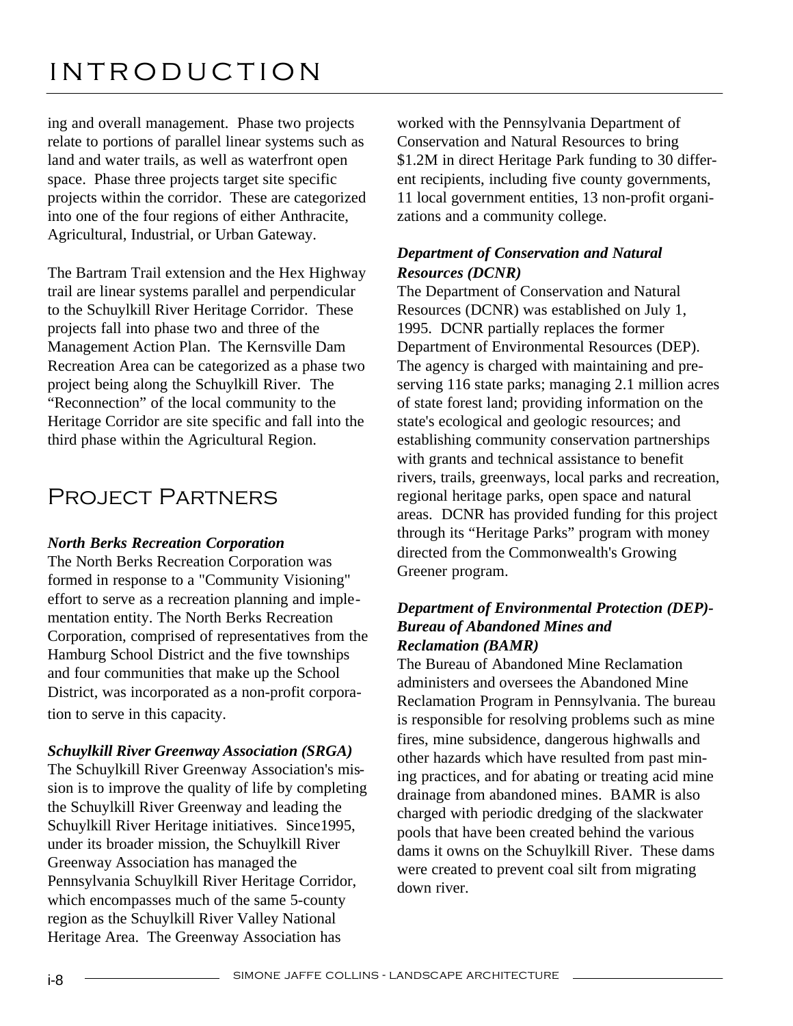# *introduction*

ing and overall management. Phase two projects relate to portions of parallel linear systems such as land and water trails, as well as waterfront open space. Phase three projects target site specific projects within the corridor. These are categorized into one of the four regions of either Anthracite, Agricultural, Industrial, or Urban Gateway.

The Bartram Trail extension and the Hex Highway trail are linear systems parallel and perpendicular to the Schuylkill River Heritage Corridor. These projects fall into phase two and three of the Management Action Plan. The Kernsville Dam Recreation Area can be categorized as a phase two project being along the Schuylkill River. The "Reconnection" of the local community to the Heritage Corridor are site specific and fall into the third phase within the Agricultural Region.

# *Project Partners*

#### *North Berks Recreation Corporation*

The North Berks Recreation Corporation was formed in response to a "Community Visioning" effort to serve as a recreation planning and implementation entity. The North Berks Recreation Corporation, comprised of representatives from the Hamburg School District and the five townships and four communities that make up the School District, was incorporated as a non-profit corporation to serve in this capacity.

#### *Schuylkill River Greenway Association (SRGA)*

The Schuylkill River Greenway Association's mission is to improve the quality of life by completing the Schuylkill River Greenway and leading the Schuylkill River Heritage initiatives. Since1995, under its broader mission, the Schuylkill River Greenway Association has managed the Pennsylvania Schuylkill River Heritage Corridor, which encompasses much of the same 5-county region as the Schuylkill River Valley National Heritage Area. The Greenway Association has

worked with the Pennsylvania Department of Conservation and Natural Resources to bring \$1.2M in direct Heritage Park funding to 30 different recipients, including five county governments, 11 local government entities, 13 non-profit organizations and a community college.

#### *Department of Conservation and Natural Resources (DCNR)*

The Department of Conservation and Natural Resources (DCNR) was established on July 1, 1995. DCNR partially replaces the former Department of Environmental Resources (DEP). The agency is charged with maintaining and preserving 116 state parks; managing 2.1 million acres of state forest land; providing information on the state's ecological and geologic resources; and establishing community conservation partnerships with grants and technical assistance to benefit rivers, trails, greenways, local parks and recreation, regional heritage parks, open space and natural areas. DCNR has provided funding for this project through its "Heritage Parks" program with money directed from the Commonwealth's Growing Greener program.

#### *Department of Environmental Protection (DEP)- Bureau of Abandoned Mines and Reclamation (BAMR)*

The Bureau of Abandoned Mine Reclamation administers and oversees the Abandoned Mine Reclamation Program in Pennsylvania. The bureau is responsible for resolving problems such as mine fires, mine subsidence, dangerous highwalls and other hazards which have resulted from past mining practices, and for abating or treating acid mine drainage from abandoned mines. BAMR is also charged with periodic dredging of the slackwater pools that have been created behind the various dams it owns on the Schuylkill River. These dams were created to prevent coal silt from migrating down river.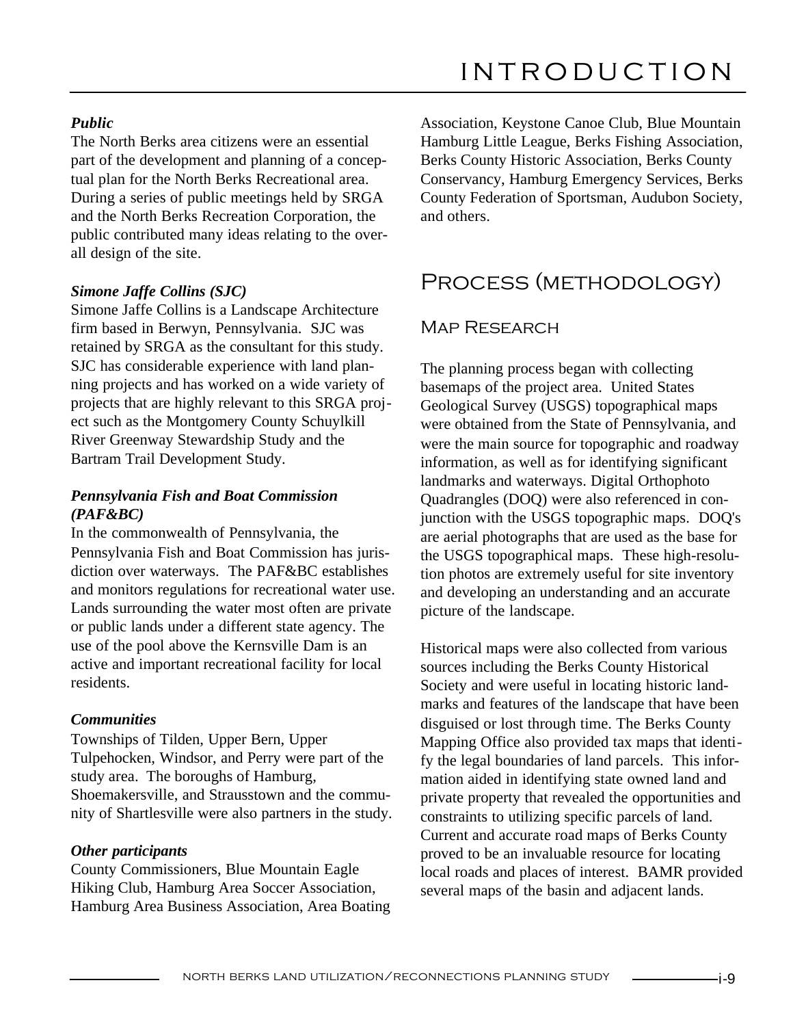#### *Public*

The North Berks area citizens were an essential part of the development and planning of a conceptual plan for the North Berks Recreational area. During a series of public meetings held by SRGA and the North Berks Recreation Corporation, the public contributed many ideas relating to the overall design of the site.

#### *Simone Jaffe Collins (SJC)*

Simone Jaffe Collins is a Landscape Architecture firm based in Berwyn, Pennsylvania. SJC was retained by SRGA as the consultant for this study. SJC has considerable experience with land planning projects and has worked on a wide variety of projects that are highly relevant to this SRGA project such as the Montgomery County Schuylkill River Greenway Stewardship Study and the Bartram Trail Development Study.

#### *Pennsylvania Fish and Boat Commission (PAF&BC)*

In the commonwealth of Pennsylvania, the Pennsylvania Fish and Boat Commission has jurisdiction over waterways. The PAF&BC establishes and monitors regulations for recreational water use. Lands surrounding the water most often are private or public lands under a different state agency. The use of the pool above the Kernsville Dam is an active and important recreational facility for local residents.

#### *Communities*

Townships of Tilden, Upper Bern, Upper Tulpehocken, Windsor, and Perry were part of the study area. The boroughs of Hamburg, Shoemakersville, and Strausstown and the community of Shartlesville were also partners in the study.

#### *Other participants*

County Commissioners, Blue Mountain Eagle Hiking Club, Hamburg Area Soccer Association, Hamburg Area Business Association, Area Boating Association, Keystone Canoe Club, Blue Mountain Hamburg Little League, Berks Fishing Association, Berks County Historic Association, Berks County Conservancy, Hamburg Emergency Services, Berks County Federation of Sportsman, Audubon Society, and others.

# *Process (methodology)*

## *Map Research*

The planning process began with collecting basemaps of the project area. United States Geological Survey (USGS) topographical maps were obtained from the State of Pennsylvania, and were the main source for topographic and roadway information, as well as for identifying significant landmarks and waterways. Digital Orthophoto Quadrangles (DOQ) were also referenced in conjunction with the USGS topographic maps. DOQ's are aerial photographs that are used as the base for the USGS topographical maps. These high-resolution photos are extremely useful for site inventory and developing an understanding and an accurate picture of the landscape.

Historical maps were also collected from various sources including the Berks County Historical Society and were useful in locating historic landmarks and features of the landscape that have been disguised or lost through time. The Berks County Mapping Office also provided tax maps that identify the legal boundaries of land parcels. This information aided in identifying state owned land and private property that revealed the opportunities and constraints to utilizing specific parcels of land. Current and accurate road maps of Berks County proved to be an invaluable resource for locating local roads and places of interest. BAMR provided several maps of the basin and adjacent lands.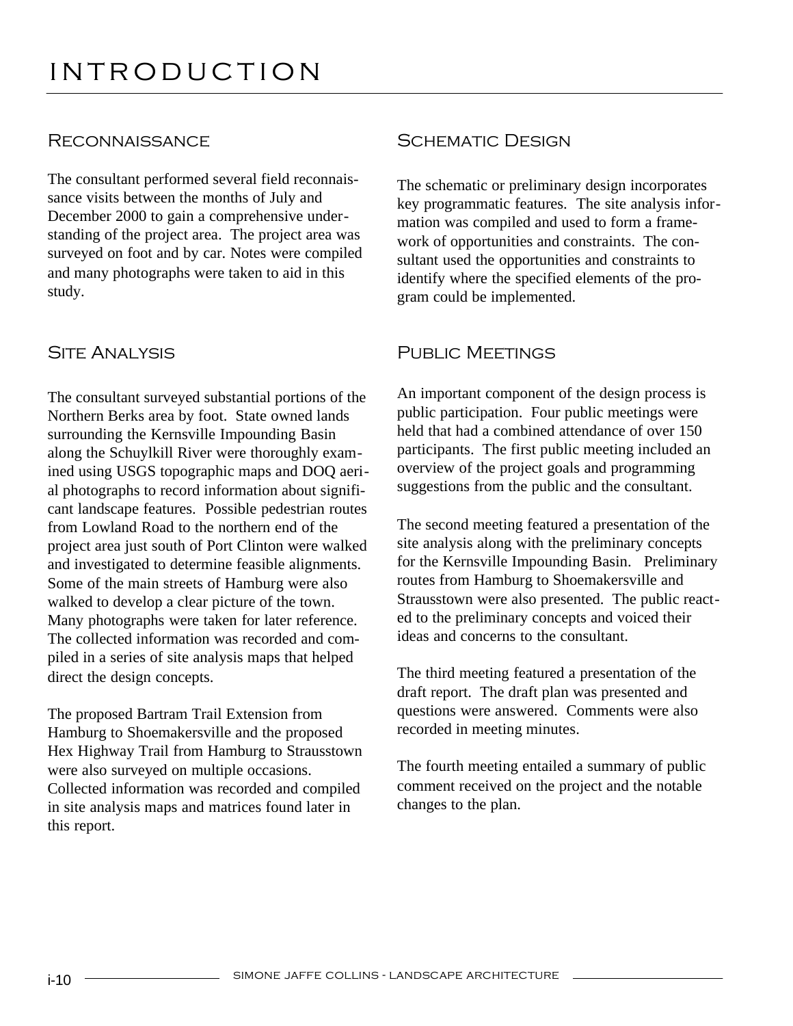## *Reconnaissance*

The consultant performed several field reconnaissance visits between the months of July and December 2000 to gain a comprehensive understanding of the project area. The project area was surveyed on foot and by car. Notes were compiled and many photographs were taken to aid in this study.

## *Site Analysis*

The consultant surveyed substantial portions of the Northern Berks area by foot. State owned lands surrounding the Kernsville Impounding Basin along the Schuylkill River were thoroughly examined using USGS topographic maps and DOQ aerial photographs to record information about significant landscape features. Possible pedestrian routes from Lowland Road to the northern end of the project area just south of Port Clinton were walked and investigated to determine feasible alignments. Some of the main streets of Hamburg were also walked to develop a clear picture of the town. Many photographs were taken for later reference. The collected information was recorded and compiled in a series of site analysis maps that helped direct the design concepts.

The proposed Bartram Trail Extension from Hamburg to Shoemakersville and the proposed Hex Highway Trail from Hamburg to Strausstown were also surveyed on multiple occasions. Collected information was recorded and compiled in site analysis maps and matrices found later in this report.

### *Schematic Design*

The schematic or preliminary design incorporates key programmatic features. The site analysis information was compiled and used to form a framework of opportunities and constraints. The consultant used the opportunities and constraints to identify where the specified elements of the program could be implemented.

## *Public Meetings*

An important component of the design process is public participation. Four public meetings were held that had a combined attendance of over 150 participants. The first public meeting included an overview of the project goals and programming suggestions from the public and the consultant.

The second meeting featured a presentation of the site analysis along with the preliminary concepts for the Kernsville Impounding Basin. Preliminary routes from Hamburg to Shoemakersville and Strausstown were also presented. The public reacted to the preliminary concepts and voiced their ideas and concerns to the consultant.

The third meeting featured a presentation of the draft report. The draft plan was presented and questions were answered. Comments were also recorded in meeting minutes.

The fourth meeting entailed a summary of public comment received on the project and the notable changes to the plan.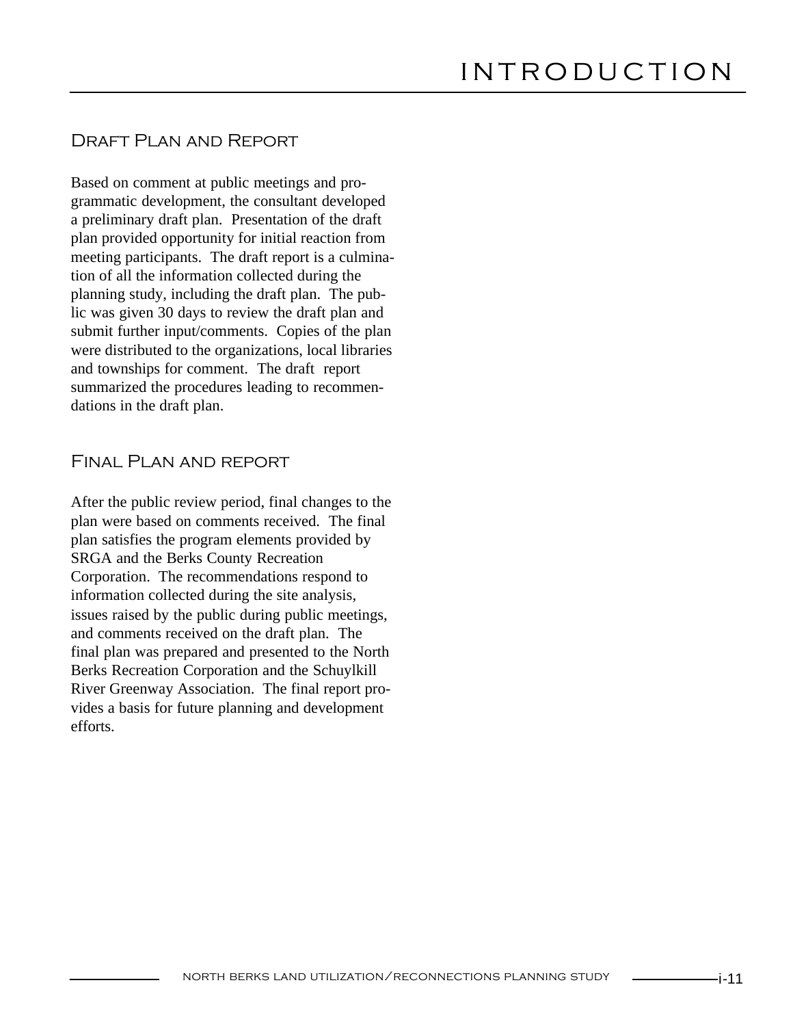## *Draft Plan and Report*

Based on comment at public meetings and programmatic development, the consultant developed a preliminary draft plan. Presentation of the draft plan provided opportunity for initial reaction from meeting participants. The draft report is a culmination of all the information collected during the planning study, including the draft plan. The public was given 30 days to review the draft plan and submit further input/comments. Copies of the plan were distributed to the organizations, local libraries and townships for comment. The draft report summarized the procedures leading to recommendations in the draft plan.

#### *Final Plan and report*

After the public review period, final changes to the plan were based on comments received. The final plan satisfies the program elements provided by SRGA and the Berks County Recreation Corporation. The recommendations respond to information collected during the site analysis, issues raised by the public during public meetings, and comments received on the draft plan. The final plan was prepared and presented to the North Berks Recreation Corporation and the Schuylkill River Greenway Association. The final report provides a basis for future planning and development efforts.